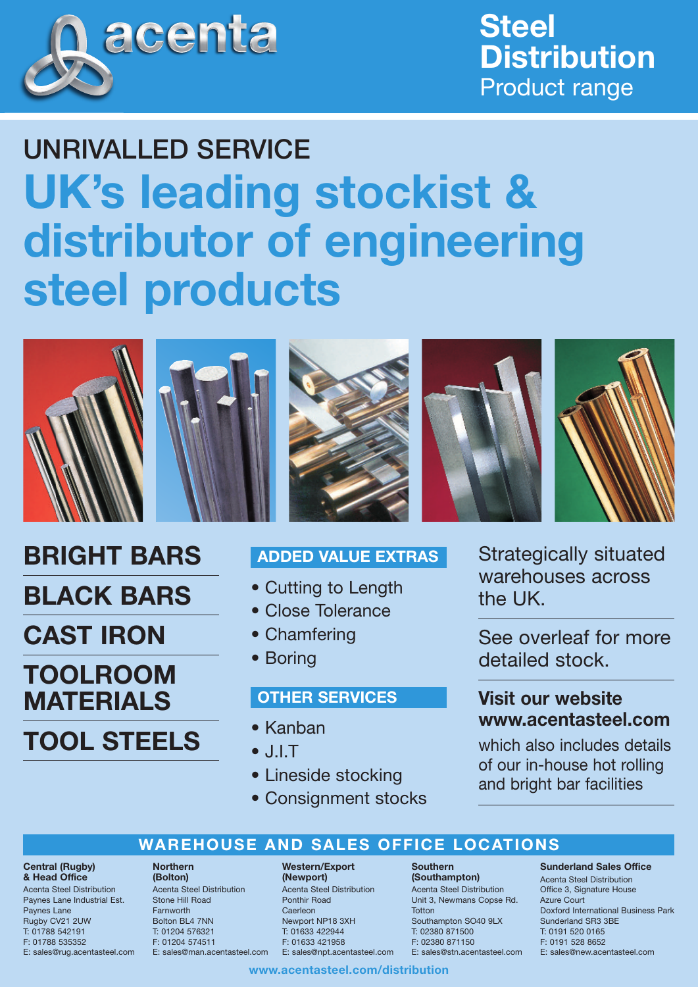

**Steel Distribution** Product range

# UNRIVALLED SERVICE **UK's leading stockist & distributor of engineering steel products**



**BRIGHT BARS**

**BLACK BARS**

**CAST IRON**

**TOOLROOM**

**MATERIALS**

**TOOL STEELS**







- Cutting to Length
- Close Tolerance
- Chamfering
- Boring

## **OTHER SERVICES**

- Kanban
- $\bullet$  J.I.T.
- Lineside stocking
- Consignment stocks



See overleaf for more detailed stock.

# **Visit our website www.acentasteel.com**

which also includes details of our in-house hot rolling and bright bar facilities

# **WAREHOUSE AND SALES OFFICE LOCATIONS**

#### **Central (Rugby) & Head Office**

Acenta Steel Distribution Paynes Lane Industrial Est. Paynes Lane Rugby CV21 2UW T: 01788 542191 F: 01788 535352 E: sales@rug.acentasteel.com

#### **Northern (Bolton)**

Acenta Steel Distribution Stone Hill Road Farnworth Bolton BL4 7NN T: 01204 576321 F: 01204 574511 E: sales@man.acentasteel.com

#### **Western/Export (Newport)**

Acenta Steel Distribution Ponthir Road **Caerleon** Newport NP18 3XH T: 01633 422944 F: 01633 421958 E: sales@npt.acentasteel.com

#### **Southern (Southampton)**

Acenta Steel Distribution Unit 3, Newmans Copse Rd. **Totton** Southampton SO40 9LX T: 02380 871500 F: 02380 871150 E: sales@stn.acentasteel.com

## **Sunderland Sales Office**

Acenta Steel Distribution Office 3, Signature House Azure Court Doxford International Business Park Sunderland SR3 3BE T: 0191 520 0165 F: 0191 528 8652 E: sales@new.acentasteel.com

## **www.acentasteel.com/distribution**